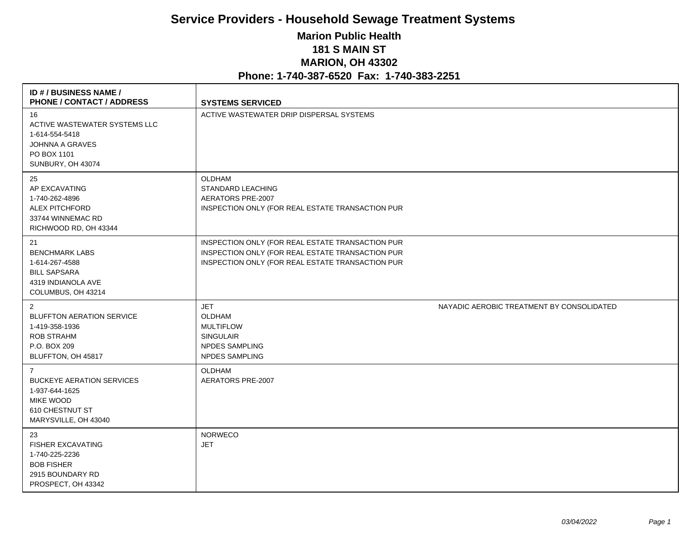## **Service Providers - Household Sewage Treatment Systems Marion Public Health 181 S MAIN ST MARION, OH 43302 Phone: 1-740-387-6520 Fax: 1-740-383-2251**

| ID # / BUSINESS NAME /<br><b>PHONE / CONTACT / ADDRESS</b>                                                                          | <b>SYSTEMS SERVICED</b>                                                                                                                                  |                                           |
|-------------------------------------------------------------------------------------------------------------------------------------|----------------------------------------------------------------------------------------------------------------------------------------------------------|-------------------------------------------|
| 16<br>ACTIVE WASTEWATER SYSTEMS LLC<br>1-614-554-5418<br><b>JOHNNA A GRAVES</b><br>PO BOX 1101<br>SUNBURY, OH 43074                 | ACTIVE WASTEWATER DRIP DISPERSAL SYSTEMS                                                                                                                 |                                           |
| 25<br>AP EXCAVATING<br>1-740-262-4896<br><b>ALEX PITCHFORD</b><br>33744 WINNEMAC RD<br>RICHWOOD RD, OH 43344                        | OLDHAM<br>STANDARD LEACHING<br>AERATORS PRE-2007<br>INSPECTION ONLY (FOR REAL ESTATE TRANSACTION PUR                                                     |                                           |
| 21<br><b>BENCHMARK LABS</b><br>1-614-267-4588<br><b>BILL SAPSARA</b><br>4319 INDIANOLA AVE<br>COLUMBUS, OH 43214                    | INSPECTION ONLY (FOR REAL ESTATE TRANSACTION PUR<br>INSPECTION ONLY (FOR REAL ESTATE TRANSACTION PUR<br>INSPECTION ONLY (FOR REAL ESTATE TRANSACTION PUR |                                           |
| 2<br><b>BLUFFTON AERATION SERVICE</b><br>1-419-358-1936<br>ROB STRAHM<br>P.O. BOX 209<br>BLUFFTON, OH 45817                         | <b>JET</b><br><b>OLDHAM</b><br><b>MULTIFLOW</b><br><b>SINGULAIR</b><br>NPDES SAMPLING<br><b>NPDES SAMPLING</b>                                           | NAYADIC AEROBIC TREATMENT BY CONSOLIDATED |
| $\overline{7}$<br><b>BUCKEYE AERATION SERVICES</b><br>1-937-644-1625<br><b>MIKE WOOD</b><br>610 CHESTNUT ST<br>MARYSVILLE, OH 43040 | <b>OLDHAM</b><br>AERATORS PRE-2007                                                                                                                       |                                           |
| 23<br><b>FISHER EXCAVATING</b><br>1-740-225-2236<br><b>BOB FISHER</b><br>2915 BOUNDARY RD<br>PROSPECT, OH 43342                     | <b>NORWECO</b><br><b>JET</b>                                                                                                                             |                                           |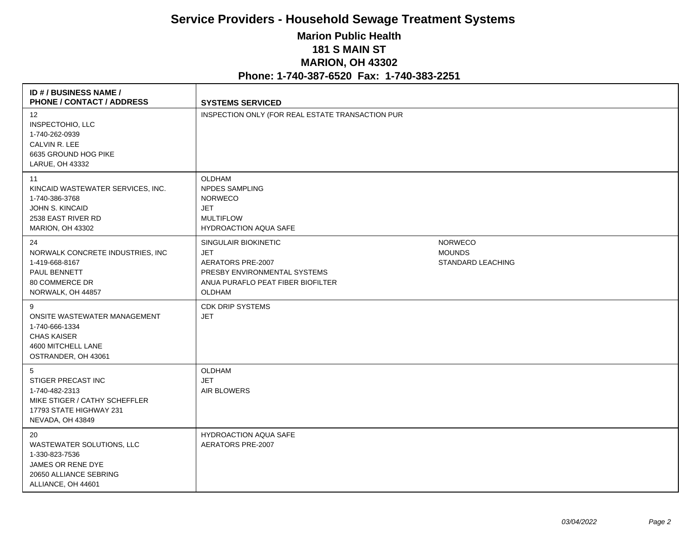## **Service Providers - Household Sewage Treatment Systems Marion Public Health 181 S MAIN ST MARION, OH 43302 Phone: 1-740-387-6520 Fax: 1-740-383-2251**

| <b>ID #/BUSINESS NAME/</b><br><b>PHONE / CONTACT / ADDRESS</b>                                                                | <b>SYSTEMS SERVICED</b>                                                                                                                |                                                             |
|-------------------------------------------------------------------------------------------------------------------------------|----------------------------------------------------------------------------------------------------------------------------------------|-------------------------------------------------------------|
| 12<br>INSPECTOHIO, LLC<br>1-740-262-0939<br>CALVIN R. LEE<br>6635 GROUND HOG PIKE<br>LARUE, OH 43332                          | INSPECTION ONLY (FOR REAL ESTATE TRANSACTION PUR                                                                                       |                                                             |
| 11<br>KINCAID WASTEWATER SERVICES, INC.<br>1-740-386-3768<br>JOHN S. KINCAID<br>2538 EAST RIVER RD<br><b>MARION, OH 43302</b> | <b>OLDHAM</b><br><b>NPDES SAMPLING</b><br><b>NORWECO</b><br><b>JET</b><br><b>MULTIFLOW</b><br><b>HYDROACTION AQUA SAFE</b>             |                                                             |
| 24<br>NORWALK CONCRETE INDUSTRIES, INC<br>1-419-668-8167<br>PAUL BENNETT<br>80 COMMERCE DR<br>NORWALK, OH 44857               | SINGULAIR BIOKINETIC<br><b>JET</b><br>AERATORS PRE-2007<br>PRESBY ENVIRONMENTAL SYSTEMS<br>ANUA PURAFLO PEAT FIBER BIOFILTER<br>OLDHAM | <b>NORWECO</b><br><b>MOUNDS</b><br><b>STANDARD LEACHING</b> |
| 9<br>ONSITE WASTEWATER MANAGEMENT<br>1-740-666-1334<br><b>CHAS KAISER</b><br>4600 MITCHELL LANE<br>OSTRANDER, OH 43061        | <b>CDK DRIP SYSTEMS</b><br><b>JET</b>                                                                                                  |                                                             |
| 5<br>STIGER PRECAST INC<br>1-740-482-2313<br>MIKE STIGER / CATHY SCHEFFLER<br>17793 STATE HIGHWAY 231<br>NEVADA, OH 43849     | OLDHAM<br><b>JET</b><br>AIR BLOWERS                                                                                                    |                                                             |
| 20<br>WASTEWATER SOLUTIONS, LLC<br>1-330-823-7536<br>JAMES OR RENE DYE<br>20650 ALLIANCE SEBRING<br>ALLIANCE, OH 44601        | <b>HYDROACTION AQUA SAFE</b><br>AERATORS PRE-2007                                                                                      |                                                             |